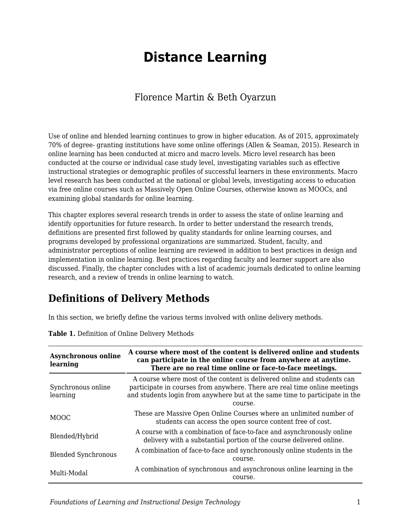# **Distance Learning**

### Florence Martin & Beth Oyarzun

Use of online and blended learning continues to grow in higher education. As of 2015, approximately 70% of degree- granting institutions have some online offerings (Allen & Seaman, 2015). Research in online learning has been conducted at micro and macro levels. Micro level research has been conducted at the course or individual case study level, investigating variables such as effective instructional strategies or demographic profiles of successful learners in these environments. Macro level research has been conducted at the national or global levels, investigating access to education via free online courses such as Massively Open Online Courses, otherwise known as MOOCs, and examining global standards for online learning.

This chapter explores several research trends in order to assess the state of online learning and identify opportunities for future research. In order to better understand the research trends, definitions are presented first followed by quality standards for online learning courses, and programs developed by professional organizations are summarized. Student, faculty, and administrator perceptions of online learning are reviewed in addition to best practices in design and implementation in online learning. Best practices regarding faculty and learner support are also discussed. Finally, the chapter concludes with a list of academic journals dedicated to online learning research, and a review of trends in online learning to watch.

### **Definitions of Delivery Methods**

In this section, we briefly define the various terms involved with online delivery methods.

| <b>Asynchronous online</b><br>learning | A course where most of the content is delivered online and students<br>can participate in the online course from anywhere at anytime.<br>There are no real time online or face-to-face meetings.                                               |
|----------------------------------------|------------------------------------------------------------------------------------------------------------------------------------------------------------------------------------------------------------------------------------------------|
| Synchronous online<br>learning         | A course where most of the content is delivered online and students can<br>participate in courses from anywhere. There are real time online meetings<br>and students login from anywhere but at the same time to participate in the<br>course. |
| <b>MOOC</b>                            | These are Massive Open Online Courses where an unlimited number of<br>students can access the open source content free of cost.                                                                                                                |
| Blended/Hybrid                         | A course with a combination of face-to-face and asynchronously online<br>delivery with a substantial portion of the course delivered online.                                                                                                   |
| <b>Blended Synchronous</b>             | A combination of face-to-face and synchronously online students in the<br>course.                                                                                                                                                              |
| Multi-Modal                            | A combination of synchronous and asynchronous online learning in the<br>course.                                                                                                                                                                |

**Table 1.** Definition of Online Delivery Methods

*Foundations of Learning and Instructional Design Technology* 1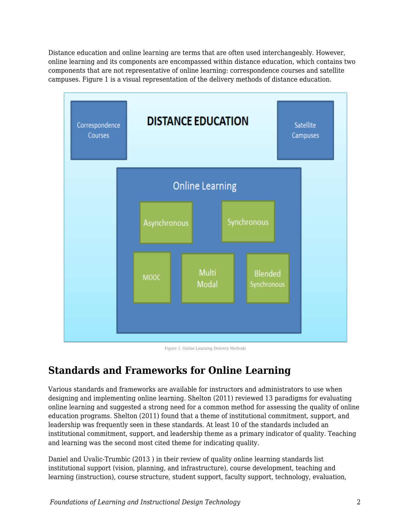Distance education and online learning are terms that are often used interchangeably. However, online learning and its components are encompassed within distance education, which contains two components that are not representative of online learning: correspondence courses and satellite campuses. Figure 1 is a visual representation of the delivery methods of distance education.



Figure 1. Online Learning Delivery Methods

# **Standards and Frameworks for Online Learning**

Various standards and frameworks are available for instructors and administrators to use when designing and implementing online learning. Shelton (2011) reviewed 13 paradigms for evaluating online learning and suggested a strong need for a common method for assessing the quality of online education programs. Shelton (2011) found that a theme of institutional commitment, support, and leadership was frequently seen in these standards. At least 10 of the standards included an institutional commitment, support, and leadership theme as a primary indicator of quality. Teaching and learning was the second most cited theme for indicating quality.

Daniel and Uvalic-Trumbic (2013 ) in their review of quality online learning standards list institutional support (vision, planning, and infrastructure), course development, teaching and learning (instruction), course structure, student support, faculty support, technology, evaluation,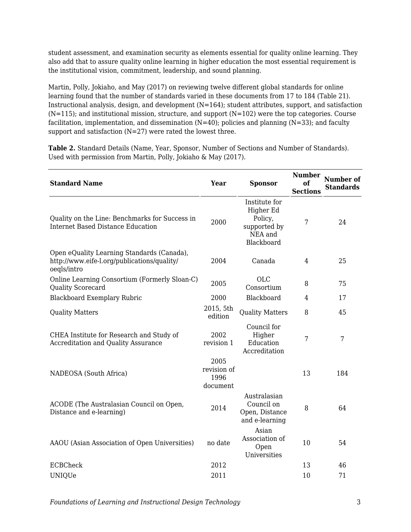student assessment, and examination security as elements essential for quality online learning. They also add that to assure quality online learning in higher education the most essential requirement is the institutional vision, commitment, leadership, and sound planning.

Martin, Polly, Jokiaho, and May (2017) on reviewing twelve different global standards for online learning found that the number of standards varied in these documents from 17 to 184 (Table 21). Instructional analysis, design, and development  $(N=164)$ ; student attributes, support, and satisfaction  $(N=115)$ ; and institutional mission, structure, and support  $(N=102)$  were the top categories. Course facilitation, implementation, and dissemination  $(N=40)$ ; policies and planning  $(N=33)$ ; and faculty support and satisfaction  $(N=27)$  were rated the lowest three.

**Table 2.** Standard Details (Name, Year, Sponsor, Number of Sections and Number of Standards). Used with permission from Martin, Polly, Jokiaho & May (2017).

| <b>Standard Name</b>                                                                                     | Year                                    | <b>Sponsor</b>                                                                 | <b>Number</b><br>oť<br><b>Sections</b> | <b>Number of</b><br><b>Standards</b> |
|----------------------------------------------------------------------------------------------------------|-----------------------------------------|--------------------------------------------------------------------------------|----------------------------------------|--------------------------------------|
| Quality on the Line: Benchmarks for Success in<br><b>Internet Based Distance Education</b>               | 2000                                    | Institute for<br>Higher Ed<br>Policy,<br>supported by<br>NEA and<br>Blackboard | 7                                      | 24                                   |
| Open eQuality Learning Standards (Canada),<br>http://www.eife-l.org/publications/quality/<br>oegls/intro | 2004                                    | Canada                                                                         | 4                                      | 25                                   |
| Online Learning Consortium (Formerly Sloan-C)<br>Quality Scorecard                                       | 2005                                    | <b>OLC</b><br>Consortium                                                       | 8                                      | 75                                   |
| <b>Blackboard Exemplary Rubric</b>                                                                       | 2000                                    | Blackboard                                                                     | 4                                      | 17                                   |
| <b>Quality Matters</b>                                                                                   | 2015, 5th<br>edition                    | <b>Quality Matters</b>                                                         | 8                                      | 45                                   |
| CHEA Institute for Research and Study of<br><b>Accreditation and Quality Assurance</b>                   | 2002<br>revision 1                      | Council for<br>Higher<br>Education<br>Accreditation                            | 7                                      | 7                                    |
| NADEOSA (South Africa)                                                                                   | 2005<br>revision of<br>1996<br>document |                                                                                | 13                                     | 184                                  |
| ACODE (The Australasian Council on Open,<br>Distance and e-learning)                                     | 2014                                    | Australasian<br>Council on<br>Open, Distance<br>and e-learning                 | 8                                      | 64                                   |
| AAOU (Asian Association of Open Universities)                                                            | no date                                 | Asian<br>Association of<br>Open<br>Universities                                | 10                                     | 54                                   |
| <b>ECBCheck</b>                                                                                          | 2012                                    |                                                                                | 13                                     | 46                                   |
| <b>UNIQUe</b>                                                                                            | 2011                                    |                                                                                | 10                                     | 71                                   |

*Foundations of Learning and Instructional Design Technology* 3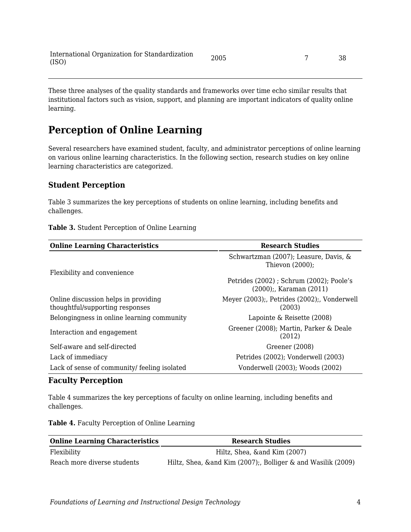These three analyses of the quality standards and frameworks over time echo similar results that institutional factors such as vision, support, and planning are important indicators of quality online learning.

### **Perception of Online Learning**

Several researchers have examined student, faculty, and administrator perceptions of online learning on various online learning characteristics. In the following section, research studies on key online learning characteristics are categorized.

#### **Student Perception**

Table 3 summarizes the key perceptions of students on online learning, including benefits and challenges.

| <b>Online Learning Characteristics</b>                                  | <b>Research Studies</b>                                     |  |
|-------------------------------------------------------------------------|-------------------------------------------------------------|--|
|                                                                         | Schwartzman (2007); Leasure, Davis, &<br>Thievon $(2000)$ ; |  |
| Flexibility and convenience                                             | Petrides (2002); Schrum (2002); Poole's                     |  |
|                                                                         | $(2000)$ :. Karaman $(2011)$                                |  |
| Online discussion helps in providing<br>thoughtful/supporting responses | Meyer (2003);, Petrides (2002);, Vonderwell<br>(2003)       |  |
| Belongingness in online learning community                              | Lapointe $\&$ Reisette (2008)                               |  |
| Interaction and engagement                                              | Greener (2008); Martin, Parker & Deale<br>(2012)            |  |
| Self-aware and self-directed                                            | Greener (2008)                                              |  |
| Lack of immediacy                                                       | Petrides (2002); Vonderwell (2003)                          |  |
| Lack of sense of community/ feeling isolated                            | Vonderwell (2003); Woods (2002)                             |  |

#### **Table 3.** Student Perception of Online Learning

#### **Faculty Perception**

Table 4 summarizes the key perceptions of faculty on online learning, including benefits and challenges.

**Table 4.** Faculty Perception of Online Learning

| <b>Online Learning Characteristics</b> | <b>Research Studies</b>                                       |
|----------------------------------------|---------------------------------------------------------------|
| Flexibility                            | Hiltz, Shea, ∧ Kim (2007)                                     |
| Reach more diverse students            | Hiltz, Shea, & and Kim (2007);, Bolliger & and Wasilik (2009) |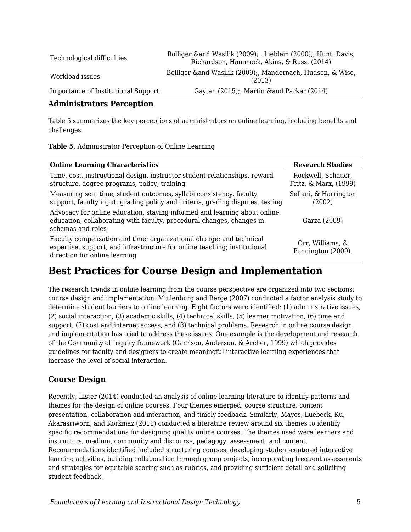| Technological difficulties          | Bolliger & and Wasilik (2009); , Lieblein (2000);, Hunt, Davis,<br>Richardson, Hammock, Akins, & Russ, (2014) |
|-------------------------------------|---------------------------------------------------------------------------------------------------------------|
| Workload issues                     | Bolliger & and Wasilik (2009); Mandernach, Hudson, & Wise,<br>(2013)                                          |
| Importance of Institutional Support | Gaytan (2015);, Martin & and Parker (2014)                                                                    |

#### **Administrators Perception**

Table 5 summarizes the key perceptions of administrators on online learning, including benefits and challenges.

| <b>Online Learning Characteristics</b>                                                                                                                                            | <b>Research Studies</b>                     |
|-----------------------------------------------------------------------------------------------------------------------------------------------------------------------------------|---------------------------------------------|
| Time, cost, instructional design, instructor student relationships, reward<br>structure, degree programs, policy, training                                                        | Rockwell, Schauer,<br>Fritz, & Marx, (1999) |
| Measuring seat time, student outcomes, syllabi consistency, faculty<br>support, faculty input, grading policy and criteria, grading disputes, testing                             | Sellani, & Harrington<br>(2002)             |
| Advocacy for online education, staying informed and learning about online<br>education, collaborating with faculty, procedural changes, changes in<br>schemas and roles           | Garza (2009)                                |
| Faculty compensation and time; organizational change; and technical<br>expertise, support, and infrastructure for online teaching; institutional<br>direction for online learning | Orr, Williams, &<br>Pennington (2009).      |

### **Best Practices for Course Design and Implementation**

The research trends in online learning from the course perspective are organized into two sections: course design and implementation. Muilenburg and Berge (2007) conducted a factor analysis study to determine student barriers to online learning. Eight factors were identified: (1) administrative issues, (2) social interaction, (3) academic skills, (4) technical skills, (5) learner motivation, (6) time and support, (7) cost and internet access, and (8) technical problems. Research in online course design and implementation has tried to address these issues. One example is the development and research of the Community of Inquiry framework (Garrison, Anderson, & Archer, 1999) which provides guidelines for faculty and designers to create meaningful interactive learning experiences that increase the level of social interaction.

#### **Course Design**

Recently, Lister (2014) conducted an analysis of online learning literature to identify patterns and themes for the design of online courses. Four themes emerged: course structure, content presentation, collaboration and interaction, and timely feedback. Similarly, Mayes, Luebeck, Ku, Akarasriworn, and Korkmaz (2011) conducted a literature review around six themes to identify specific recommendations for designing quality online courses. The themes used were learners and instructors, medium, community and discourse, pedagogy, assessment, and content. Recommendations identified included structuring courses, developing student-centered interactive learning activities, building collaboration through group projects, incorporating frequent assessments and strategies for equitable scoring such as rubrics, and providing sufficient detail and soliciting student feedback.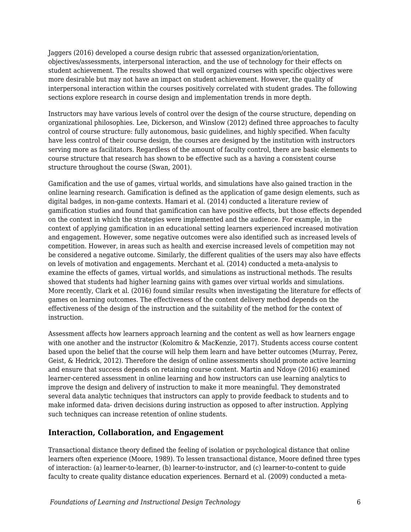Jaggers (2016) developed a course design rubric that assessed organization/orientation, objectives/assessments, interpersonal interaction, and the use of technology for their effects on student achievement. The results showed that well organized courses with specific objectives were more desirable but may not have an impact on student achievement. However, the quality of interpersonal interaction within the courses positively correlated with student grades. The following sections explore research in course design and implementation trends in more depth.

Instructors may have various levels of control over the design of the course structure, depending on organizational philosophies. Lee, Dickerson, and Winslow (2012) defined three approaches to faculty control of course structure: fully autonomous, basic guidelines, and highly specified. When faculty have less control of their course design, the courses are designed by the institution with instructors serving more as facilitators. Regardless of the amount of faculty control, there are basic elements to course structure that research has shown to be effective such as a having a consistent course structure throughout the course (Swan, 2001).

Gamification and the use of games, virtual worlds, and simulations have also gained traction in the online learning research. Gamification is defined as the application of game design elements, such as digital badges, in non-game contexts. Hamari et al. (2014) conducted a literature review of gamification studies and found that gamification can have positive effects, but those effects depended on the context in which the strategies were implemented and the audience. For example, in the context of applying gamification in an educational setting learners experienced increased motivation and engagement. However, some negative outcomes were also identified such as increased levels of competition. However, in areas such as health and exercise increased levels of competition may not be considered a negative outcome. Similarly, the different qualities of the users may also have effects on levels of motivation and engagements. Merchant et al. (2014) conducted a meta-analysis to examine the effects of games, virtual worlds, and simulations as instructional methods. The results showed that students had higher learning gains with games over virtual worlds and simulations. More recently, Clark et al. (2016) found similar results when investigating the literature for effects of games on learning outcomes. The effectiveness of the content delivery method depends on the effectiveness of the design of the instruction and the suitability of the method for the context of instruction.

Assessment affects how learners approach learning and the content as well as how learners engage with one another and the instructor (Kolomitro & MacKenzie, 2017). Students access course content based upon the belief that the course will help them learn and have better outcomes (Murray, Perez, Geist, & Hedrick, 2012). Therefore the design of online assessments should promote active learning and ensure that success depends on retaining course content. Martin and Ndoye (2016) examined learner-centered assessment in online learning and how instructors can use learning analytics to improve the design and delivery of instruction to make it more meaningful. They demonstrated several data analytic techniques that instructors can apply to provide feedback to students and to make informed data- driven decisions during instruction as opposed to after instruction. Applying such techniques can increase retention of online students.

#### **Interaction, Collaboration, and Engagement**

Transactional distance theory defined the feeling of isolation or psychological distance that online learners often experience (Moore, 1989). To lessen transactional distance, Moore defined three types of interaction: (a) learner-to-learner, (b) learner-to-instructor, and (c) learner-to-content to guide faculty to create quality distance education experiences. Bernard et al. (2009) conducted a meta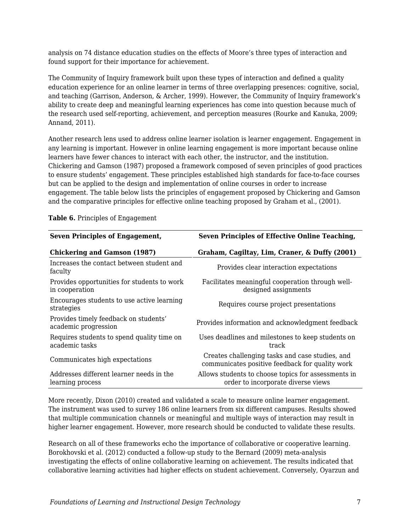analysis on 74 distance education studies on the effects of Moore's three types of interaction and found support for their importance for achievement.

The Community of Inquiry framework built upon these types of interaction and defined a quality education experience for an online learner in terms of three overlapping presences: cognitive, social, and teaching (Garrison, Anderson, & Archer, 1999). However, the Community of Inquiry framework's ability to create deep and meaningful learning experiences has come into question because much of the research used self-reporting, achievement, and perception measures (Rourke and Kanuka, 2009; Annand, 2011).

Another research lens used to address online learner isolation is learner engagement. Engagement in any learning is important. However in online learning engagement is more important because online learners have fewer chances to interact with each other, the instructor, and the institution. Chickering and Gamson (1987) proposed a framework composed of seven principles of good practices to ensure students' engagement. These principles established high standards for face-to-face courses but can be applied to the design and implementation of online courses in order to increase engagement. The table below lists the principles of engagement proposed by Chickering and Gamson and the comparative principles for effective online teaching proposed by Graham et al., (2001).

| <b>Seven Principles of Engagement,</b>                        | <b>Seven Principles of Effective Online Teaching,</b>                                              |  |
|---------------------------------------------------------------|----------------------------------------------------------------------------------------------------|--|
| <b>Chickering and Gamson (1987)</b>                           | Graham, Cagiltay, Lim, Craner, & Duffy (2001)                                                      |  |
| Increases the contact between student and<br>faculty          | Provides clear interaction expectations                                                            |  |
| Provides opportunities for students to work<br>in cooperation | Facilitates meaningful cooperation through well-<br>designed assignments                           |  |
| Encourages students to use active learning<br>strategies      | Requires course project presentations                                                              |  |
| Provides timely feedback on students'<br>academic progression | Provides information and acknowledgment feedback                                                   |  |
| Requires students to spend quality time on<br>academic tasks  | Uses deadlines and milestones to keep students on<br>track                                         |  |
| Communicates high expectations                                | Creates challenging tasks and case studies, and<br>communicates positive feedback for quality work |  |
| Addresses different learner needs in the<br>learning process  | Allows students to choose topics for assessments in<br>order to incorporate diverse views          |  |

**Table 6.** Principles of Engagement

More recently, Dixon (2010) created and validated a scale to measure online learner engagement. The instrument was used to survey 186 online learners from six different campuses. Results showed that multiple communication channels or meaningful and multiple ways of interaction may result in higher learner engagement. However, more research should be conducted to validate these results.

Research on all of these frameworks echo the importance of collaborative or cooperative learning. Borokhovski et al. (2012) conducted a follow-up study to the Bernard (2009) meta-analysis investigating the effects of online collaborative learning on achievement. The results indicated that collaborative learning activities had higher effects on student achievement. Conversely, Oyarzun and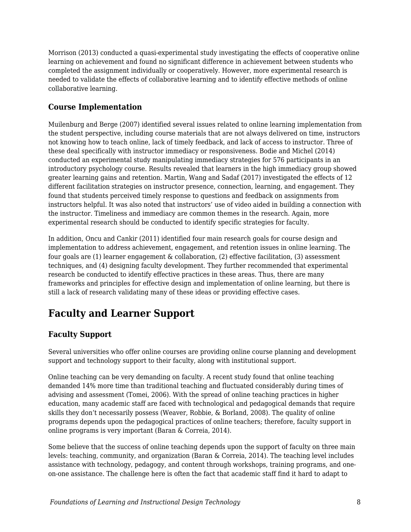Morrison (2013) conducted a quasi-experimental study investigating the effects of cooperative online learning on achievement and found no significant difference in achievement between students who completed the assignment individually or cooperatively. However, more experimental research is needed to validate the effects of collaborative learning and to identify effective methods of online collaborative learning.

#### **Course Implementation**

Muilenburg and Berge (2007) identified several issues related to online learning implementation from the student perspective, including course materials that are not always delivered on time, instructors not knowing how to teach online, lack of timely feedback, and lack of access to instructor. Three of these deal specifically with instructor immediacy or responsiveness. Bodie and Michel (2014) conducted an experimental study manipulating immediacy strategies for 576 participants in an introductory psychology course. Results revealed that learners in the high immediacy group showed greater learning gains and retention. Martin, Wang and Sadaf (2017) investigated the effects of 12 different facilitation strategies on instructor presence, connection, learning, and engagement. They found that students perceived timely response to questions and feedback on assignments from instructors helpful. It was also noted that instructors' use of video aided in building a connection with the instructor. Timeliness and immediacy are common themes in the research. Again, more experimental research should be conducted to identify specific strategies for faculty.

In addition, Oncu and Cankir (2011) identified four main research goals for course design and implementation to address achievement, engagement, and retention issues in online learning. The four goals are (1) learner engagement & collaboration, (2) effective facilitation, (3) assessment techniques, and (4) designing faculty development. They further recommended that experimental research be conducted to identify effective practices in these areas. Thus, there are many frameworks and principles for effective design and implementation of online learning, but there is still a lack of research validating many of these ideas or providing effective cases.

# **Faculty and Learner Support**

#### **Faculty Support**

Several universities who offer online courses are providing online course planning and development support and technology support to their faculty, along with institutional support.

Online teaching can be very demanding on faculty. A recent study found that online teaching demanded 14% more time than traditional teaching and fluctuated considerably during times of advising and assessment (Tomei, 2006). With the spread of online teaching practices in higher education, many academic staff are faced with technological and pedagogical demands that require skills they don't necessarily possess (Weaver, Robbie, & Borland, 2008). The quality of online programs depends upon the pedagogical practices of online teachers; therefore, faculty support in online programs is very important (Baran & Correia, 2014).

Some believe that the success of online teaching depends upon the support of faculty on three main levels: teaching, community, and organization (Baran & Correia, 2014). The teaching level includes assistance with technology, pedagogy, and content through workshops, training programs, and oneon-one assistance. The challenge here is often the fact that academic staff find it hard to adapt to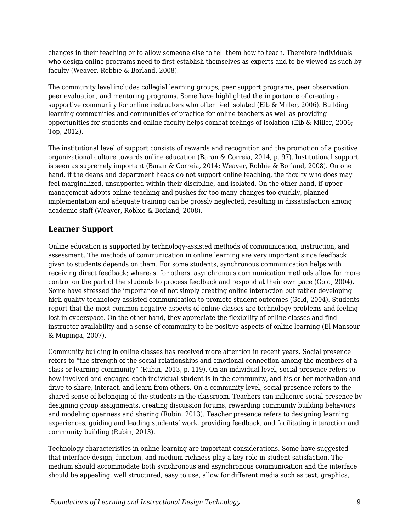changes in their teaching or to allow someone else to tell them how to teach. Therefore individuals who design online programs need to first establish themselves as experts and to be viewed as such by faculty (Weaver, Robbie & Borland, 2008).

The community level includes collegial learning groups, peer support programs, peer observation, peer evaluation, and mentoring programs. Some have highlighted the importance of creating a supportive community for online instructors who often feel isolated (Eib & Miller, 2006). Building learning communities and communities of practice for online teachers as well as providing opportunities for students and online faculty helps combat feelings of isolation (Eib & Miller, 2006; Top, 2012).

The institutional level of support consists of rewards and recognition and the promotion of a positive organizational culture towards online education (Baran & Correia, 2014, p. 97). Institutional support is seen as supremely important (Baran & Correia, 2014; Weaver, Robbie & Borland, 2008). On one hand, if the deans and department heads do not support online teaching, the faculty who does may feel marginalized, unsupported within their discipline, and isolated. On the other hand, if upper management adopts online teaching and pushes for too many changes too quickly, planned implementation and adequate training can be grossly neglected, resulting in dissatisfaction among academic staff (Weaver, Robbie & Borland, 2008).

#### **Learner Support**

Online education is supported by technology-assisted methods of communication, instruction, and assessment. The methods of communication in online learning are very important since feedback given to students depends on them. For some students, synchronous communication helps with receiving direct feedback; whereas, for others, asynchronous communication methods allow for more control on the part of the students to process feedback and respond at their own pace (Gold, 2004). Some have stressed the importance of not simply creating online interaction but rather developing high quality technology-assisted communication to promote student outcomes (Gold, 2004). Students report that the most common negative aspects of online classes are technology problems and feeling lost in cyberspace. On the other hand, they appreciate the flexibility of online classes and find instructor availability and a sense of community to be positive aspects of online learning (El Mansour & Mupinga, 2007).

Community building in online classes has received more attention in recent years. Social presence refers to "the strength of the social relationships and emotional connection among the members of a class or learning community" (Rubin, 2013, p. 119). On an individual level, social presence refers to how involved and engaged each individual student is in the community, and his or her motivation and drive to share, interact, and learn from others. On a community level, social presence refers to the shared sense of belonging of the students in the classroom. Teachers can influence social presence by designing group assignments, creating discussion forums, rewarding community building behaviors and modeling openness and sharing (Rubin, 2013). Teacher presence refers to designing learning experiences, guiding and leading students' work, providing feedback, and facilitating interaction and community building (Rubin, 2013).

Technology characteristics in online learning are important considerations. Some have suggested that interface design, function, and medium richness play a key role in student satisfaction. The medium should accommodate both synchronous and asynchronous communication and the interface should be appealing, well structured, easy to use, allow for different media such as text, graphics,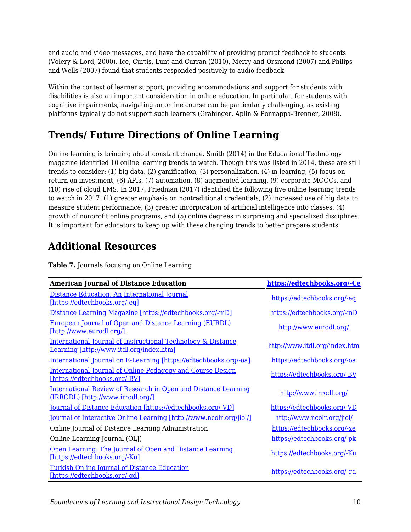and audio and video messages, and have the capability of providing prompt feedback to students (Volery & Lord, 2000). Ice, Curtis, Lunt and Curran (2010), Merry and Orsmond (2007) and Philips and Wells (2007) found that students responded positively to audio feedback.

Within the context of learner support, providing accommodations and support for students with disabilities is also an important consideration in online education. In particular, for students with cognitive impairments, navigating an online course can be particularly challenging, as existing platforms typically do not support such learners (Grabinger, Aplin & Ponnappa-Brenner, 2008).

# **Trends/ Future Directions of Online Learning**

Online learning is bringing about constant change. Smith (2014) in the Educational Technology magazine identified 10 online learning trends to watch. Though this was listed in 2014, these are still trends to consider: (1) big data, (2) gamification, (3) personalization, (4) m-learning, (5) focus on return on investment, (6) APIs, (7) automation, (8) augmented learning, (9) corporate MOOCs, and (10) rise of cloud LMS. In 2017, Friedman (2017) identified the following five online learning trends to watch in 2017: (1) greater emphasis on nontraditional credentials, (2) increased use of big data to measure student performance, (3) greater incorporation of artificial intelligence into classes, (4) growth of nonprofit online programs, and (5) online degrees in surprising and specialized disciplines. It is important for educators to keep up with these changing trends to better prepare students.

# **Additional Resources**

**Table 7.** Journals focusing on Online Learning

| <b>American Journal of Distance Education</b>                                                            | https://edtechbooks.org/-Ce   |
|----------------------------------------------------------------------------------------------------------|-------------------------------|
| Distance Education: An International Journal<br>[https://edtechbooks.org/-eq]                            | https://edtechbooks.org/-eq   |
| Distance Learning Magazine [https://edtechbooks.org/-mD]                                                 | https://edtechbooks.org/-mD   |
| <b>European Journal of Open and Distance Learning (EURDL)</b><br>[http://www.eurodl.org/]                | http://www.eurodl.org/        |
| International Journal of Instructional Technology & Distance<br>Learning [http://www.itdl.org/index.htm] | http://www.itdl.org/index.htm |
| International Journal on E-Learning [https://edtechbooks.org/-oa]                                        | https://edtechbooks.org/-oa   |
| International Journal of Online Pedagogy and Course Design<br>[https://edtechbooks.org/-BV]              | https://edtechbooks.org/-BV   |
| International Review of Research in Open and Distance Learning<br>(IRRODL) [http://www.irrodl.org/]      | http://www.irrodl.org/        |
| <u>Journal of Distance Education [https://edtechbooks.org/-VD]</u>                                       | https://edtechbooks.org/-VD   |
| <u>Journal of Interactive Online Learning [http://www.ncolr.org/jiol/]</u>                               | http://www.ncolr.org/jiol/    |
| Online Journal of Distance Learning Administration                                                       | https://edtechbooks.org/-xe   |
| Online Learning Journal (OLJ)                                                                            | https://edtechbooks.org/-pk   |
| Open Learning: The Journal of Open and Distance Learning<br>[https://edtechbooks.org/-Ku]                | https://edtechbooks.org/-Ku   |
| <b>Turkish Online Journal of Distance Education</b><br>[https://edtechbooks.org/-gd]                     | https://edtechbooks.org/-qd   |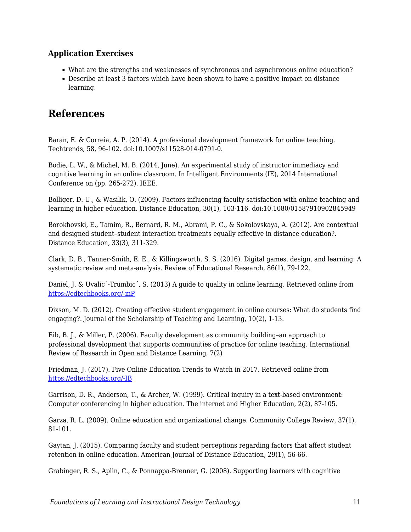#### **Application Exercises**

- What are the strengths and weaknesses of synchronous and asynchronous online education?
- Describe at least 3 factors which have been shown to have a positive impact on distance learning.

### **References**

Baran, E. & Correia, A. P. (2014). A professional development framework for online teaching. Techtrends, 58, 96-102. doi:10.1007/s11528-014-0791-0.

Bodie, L. W., & Michel, M. B. (2014, June). An experimental study of instructor immediacy and cognitive learning in an online classroom. In Intelligent Environments (IE), 2014 International Conference on (pp. 265-272). IEEE.

Bolliger, D. U., & Wasilik, O. (2009). Factors influencing faculty satisfaction with online teaching and learning in higher education. Distance Education, 30(1), 103-116. doi:10.1080/01587910902845949

Borokhovski, E., Tamim, R., Bernard, R. M., Abrami, P. C., & Sokolovskaya, A. (2012). Are contextual and designed student–student interaction treatments equally effective in distance education?. Distance Education, 33(3), 311-329.

Clark, D. B., Tanner-Smith, E. E., & Killingsworth, S. S. (2016). Digital games, design, and learning: A systematic review and meta-analysis. Review of Educational Research, 86(1), 79-122.

Daniel, J. & Uvalic´-Trumbic´, S. (2013) A guide to quality in online learning. Retrieved online from [https://edtechbooks.org/-mP](http://www.chea.org/userfiles/uploads/A%20Guide%20to%20Quality%20in%20Online%20Learning.pdf)

Dixson, M. D. (2012). Creating effective student engagement in online courses: What do students find engaging?. Journal of the Scholarship of Teaching and Learning, 10(2), 1-13.

Eib, B. J., & Miller, P. (2006). Faculty development as community building–an approach to professional development that supports communities of practice for online teaching. International Review of Research in Open and Distance Learning, 7(2)

Friedman, J. (2017). Five Online Education Trends to Watch in 2017. Retrieved online from [https://edtechbooks.org/-IB](https://www.usnews.com/higher-education/online-education/articles/2017-01-05/5-online-education-trends-to-expect-in-2017)

Garrison, D. R., Anderson, T., & Archer, W. (1999). Critical inquiry in a text-based environment: Computer conferencing in higher education. The internet and Higher Education, 2(2), 87-105.

Garza, R. L. (2009). Online education and organizational change. Community College Review, 37(1), 81-101.

Gaytan, J. (2015). Comparing faculty and student perceptions regarding factors that affect student retention in online education. American Journal of Distance Education, 29(1), 56-66.

Grabinger, R. S., Aplin, C., & Ponnappa-Brenner, G. (2008). Supporting learners with cognitive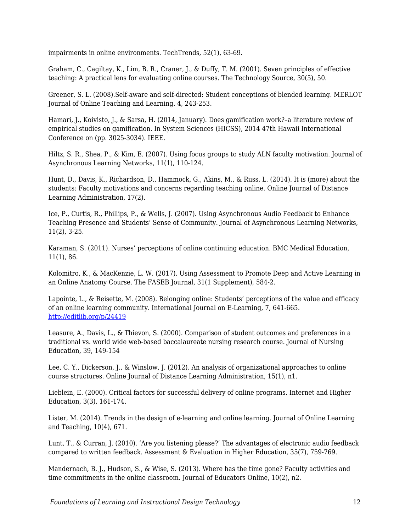impairments in online environments. TechTrends, 52(1), 63-69.

Graham, C., Cagiltay, K., Lim, B. R., Craner, J., & Duffy, T. M. (2001). Seven principles of effective teaching: A practical lens for evaluating online courses. The Technology Source, 30(5), 50.

Greener, S. L. (2008).Self-aware and self-directed: Student conceptions of blended learning. MERLOT Journal of Online Teaching and Learning. 4, 243-253.

Hamari, J., Koivisto, J., & Sarsa, H. (2014, January). Does gamification work?–a literature review of empirical studies on gamification. In System Sciences (HICSS), 2014 47th Hawaii International Conference on (pp. 3025-3034). IEEE.

Hiltz, S. R., Shea, P., & Kim, E. (2007). Using focus groups to study ALN faculty motivation. Journal of Asynchronous Learning Networks, 11(1), 110-124.

Hunt, D., Davis, K., Richardson, D., Hammock, G., Akins, M., & Russ, L. (2014). It is (more) about the students: Faculty motivations and concerns regarding teaching online. Online Journal of Distance Learning Administration, 17(2).

Ice, P., Curtis, R., Phillips, P., & Wells, J. (2007). Using Asynchronous Audio Feedback to Enhance Teaching Presence and Students' Sense of Community. Journal of Asynchronous Learning Networks, 11(2), 3-25.

Karaman, S. (2011). Nurses' perceptions of online continuing education. BMC Medical Education, 11(1), 86.

Kolomitro, K., & MacKenzie, L. W. (2017). Using Assessment to Promote Deep and Active Learning in an Online Anatomy Course. The FASEB Journal, 31(1 Supplement), 584-2.

Lapointe, L., & Reisette, M. (2008). Belonging online: Students' perceptions of the value and efficacy of an online learning community. International Journal on E-Learning, 7, 641-665. <http://editlib.org/p/24419>

Leasure, A., Davis, L., & Thievon, S. (2000). Comparison of student outcomes and preferences in a traditional vs. world wide web-based baccalaureate nursing research course. Journal of Nursing Education, 39, 149-154

Lee, C. Y., Dickerson, J., & Winslow, J. (2012). An analysis of organizational approaches to online course structures. Online Journal of Distance Learning Administration, 15(1), n1.

Lieblein, E. (2000). Critical factors for successful delivery of online programs. Internet and Higher Education, 3(3), 161-174.

Lister, M. (2014). Trends in the design of e-learning and online learning. Journal of Online Learning and Teaching, 10(4), 671.

Lunt, T., & Curran, J. (2010). 'Are you listening please?' The advantages of electronic audio feedback compared to written feedback. Assessment & Evaluation in Higher Education, 35(7), 759-769.

Mandernach, B. J., Hudson, S., & Wise, S. (2013). Where has the time gone? Faculty activities and time commitments in the online classroom. Journal of Educators Online, 10(2), n2.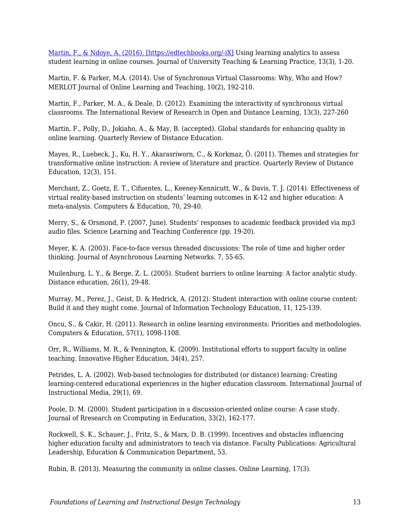[Martin, F., & Ndoye, A. \(2016\). \[https://edtechbooks.org/-iX\]](http://www.florencemartin.net/site2014/publications.html) Using learning analytics to assess student learning in online courses. Journal of University Teaching & Learning Practice, 13(3), 1-20.

Martin, F. & Parker, M.A. (2014). Use of Synchronous Virtual Classrooms: Why, Who and How? MERLOT Journal of Online Learning and Teaching, 10(2), 192-210.

Martin, F., Parker, M. A., & Deale, D. (2012). Examining the interactivity of synchronous virtual classrooms. The International Review of Research in Open and Distance Learning, 13(3), 227-260

Martin, F., Polly, D., Jokiaho, A., & May, B. (accepted). Global standards for enhancing quality in online learning. Quarterly Review of Distance Education.

Mayes, R., Luebeck, J., Ku, H. Y., Akarasriworn, C., & Korkmaz, Ö. (2011). Themes and strategies for transformative online instruction: A review of literature and practice. Quarterly Review of Distance Education, 12(3), 151.

Merchant, Z., Goetz, E. T., Cifuentes, L., Keeney-Kennicutt, W., & Davis, T. J. (2014). Effectiveness of virtual reality-based instruction on students' learning outcomes in K-12 and higher education: A meta-analysis. Computers & Education, 70, 29-40.

Merry, S., & Orsmond, P. (2007, June). Students' responses to academic feedback provided via mp3 audio files. Science Learning and Teaching Conference (pp. 19-20).

Meyer, K. A. (2003). Face-to-face versus threaded discussions: The role of time and higher order thinking. Journal of Asynchronous Learning Networks. 7, 55-65.

Muilenburg, L. Y., & Berge, Z. L. (2005). Student barriers to online learning: A factor analytic study. Distance education, 26(1), 29-48.

Murray, M., Perez, J., Geist, D. & Hedrick, A. (2012). Student interaction with online course content: Build it and they might come. Journal of Information Technology Education, 11, 125-139.

Oncu, S., & Cakir, H. (2011). Research in online learning environments: Priorities and methodologies. Computers & Education, 57(1), 1098-1108.

Orr, R., Williams, M. R., & Pennington, K. (2009). Institutional efforts to support faculty in online teaching. Innovative Higher Education, 34(4), 257.

Petrides, L. A. (2002). Web-based technologies for distributed (or distance) learning: Creating learning-centered educational experiences in the higher education classroom. International Journal of Instructional Media, 29(1), 69.

Poole, D. M. (2000). Student participation in a discussion-oriented online course: A case study. Journal of Rresearch on Ccomputing in Eeducation, 33(2), 162-177.

Rockwell, S. K., Schauer, J., Fritz, S., & Marx, D. B. (1999). Incentives and obstacles influencing higher education faculty and administrators to teach via distance. Faculty Publications: Agricultural Leadership, Education & Communication Department, 53.

Rubin, B. (2013). Measuring the community in online classes. Online Learning, 17(3).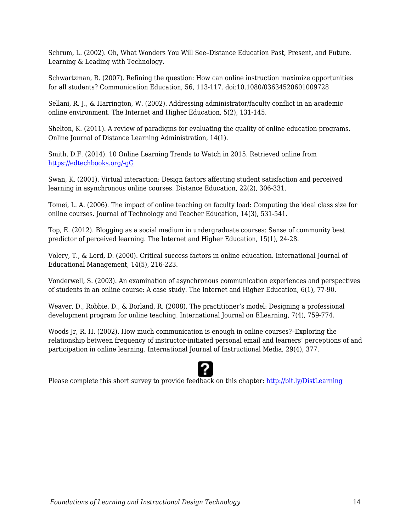Schrum, L. (2002). Oh, What Wonders You Will See–Distance Education Past, Present, and Future. Learning & Leading with Technology.

Schwartzman, R. (2007). Refining the question: How can online instruction maximize opportunities for all students? Communication Education, 56, 113-117. doi:10.1080/03634520601009728

Sellani, R. J., & Harrington, W. (2002). Addressing administrator/faculty conflict in an academic online environment. The Internet and Higher Education, 5(2), 131-145.

Shelton, K. (2011). A review of paradigms for evaluating the quality of online education programs. Online Journal of Distance Learning Administration, 14(1).

Smith, D.F. (2014). 10 Online Learning Trends to Watch in 2015. Retrieved online from [https://edtechbooks.org/-gG](http://www.edtechmagazine.com/higher/article/2014/12/10-online-learning-trends-watch-2015-infographic-0)

Swan, K. (2001). Virtual interaction: Design factors affecting student satisfaction and perceived learning in asynchronous online courses. Distance Education, 22(2), 306-331.

Tomei, L. A. (2006). The impact of online teaching on faculty load: Computing the ideal class size for online courses. Journal of Technology and Teacher Education, 14(3), 531-541.

Top, E. (2012). Blogging as a social medium in undergraduate courses: Sense of community best predictor of perceived learning. The Internet and Higher Education, 15(1), 24-28.

Volery, T., & Lord, D. (2000). Critical success factors in online education. International Journal of Educational Management, 14(5), 216-223.

Vonderwell, S. (2003). An examination of asynchronous communication experiences and perspectives of students in an online course: A case study. The Internet and Higher Education, 6(1), 77-90.

Weaver, D., Robbie, D., & Borland, R. (2008). The practitioner's model: Designing a professional development program for online teaching. International Journal on ELearning, 7(4), 759-774.

Woods Jr, R. H. (2002). How much communication is enough in online courses?–Exploring the relationship between frequency of instructor-initiated personal email and learners' perceptions of and participation in online learning. International Journal of Instructional Media, 29(4), 377.



Please complete this short survey to provide feedback on this chapter: <http://bit.ly/DistLearning>